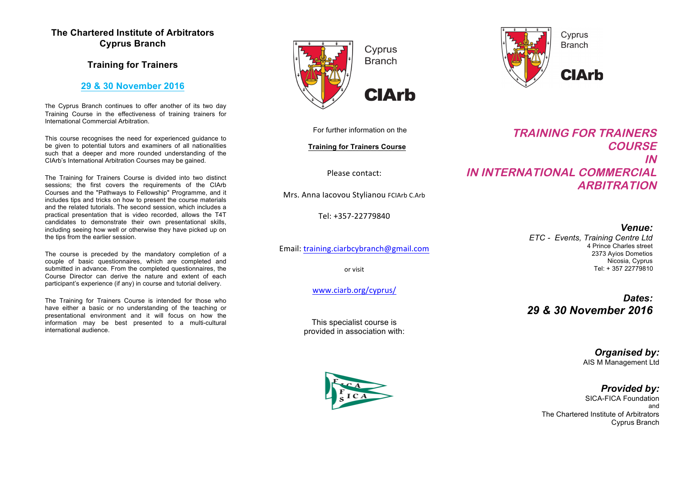# **The Chartered Institute of Arbitrators Cyprus Branch**

# **Training for Trainers**

## **29 & 30 November 2016**

The Cyprus Branch continues to offer another of its two day Training Course in the effectiveness of training trainers for International Commercial Arbitration.

This course recognises the need for experienced guidance to be given to potential tutors and examiners of all nationalities such that a deeper and more rounded understanding of the CIArb's International Arbitration Courses may be gained.

The Training for Trainers Course is divided into two distinct sessions; the first covers the requirements of the CIArb Courses and the "Pathways to Fellowship" Programme, and it includes tips and tricks on how to present the course materials and the related tutorials. The second session, which includes a practical presentation that is video recorded, allows the T4T candidates to demonstrate their own presentational skills, including seeing how well or otherwise they have picked up on the tips from the earlier session.

The course is preceded by the mandatory completion of a couple of basic questionnaires, which are completed and submitted in advance. From the completed questionnaires, the Course Director can derive the nature and extent of each participant's experience (if any) in course and tutorial delivery.

The Training for Trainers Course is intended for those who have either a basic or no understanding of the teaching or presentational environment and it will focus on how the information may be best presented to a multi-cultural international audience.







For further information on the

**Training for Trainers Course**

Please contact:

Mrs. Anna Iacovou Stylianou FCIArb C.Arb

Tel: +357-22779840

Email: training.ciarbcybranch@gmail.com

or visit

www.ciarb.org/cyprus/

This specialist course is provided in association with:

**TRAINING FOR TRAINERS COURSE IN IN INTERNATIONAL COMMERCIAL ARBITRATION** 

> *Venue: ETC - Events, Training Centre Ltd* 4 Prince Charles street 2373 Ayios Dometios Nicosia, Cyprus Tel: + 357 22779810

> *Dates: 29 & 30 November 2016*

> > *Organised by:* AIS M Management Ltd